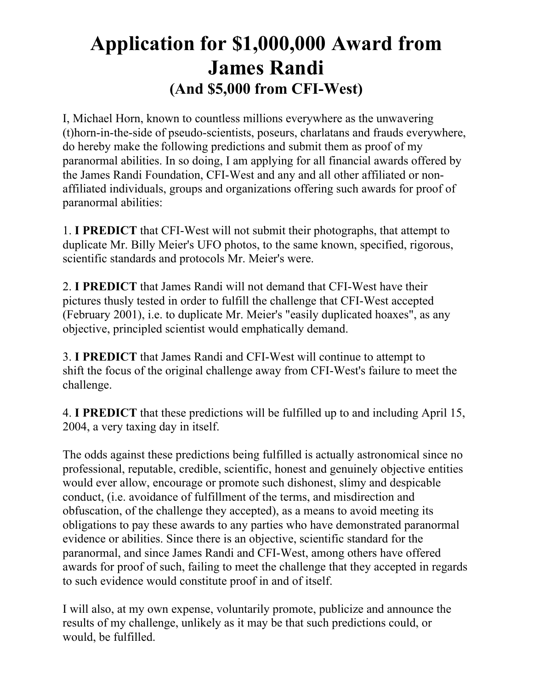## **Application for \$1,000,000 Award from James Randi (And \$5,000 from CFI-West)**

I, Michael Horn, known to countless millions everywhere as the unwavering (t)horn-in-the-side of pseudo-scientists, poseurs, charlatans and frauds everywhere, do hereby make the following predictions and submit them as proof of my paranormal abilities. In so doing, I am applying for all financial awards offered by the James Randi Foundation, CFI-West and any and all other affiliated or nonaffiliated individuals, groups and organizations offering such awards for proof of paranormal abilities:

1. **I PREDICT** that CFI-West will not submit their photographs, that attempt to duplicate Mr. Billy Meier's UFO photos, to the same known, specified, rigorous, scientific standards and protocols Mr. Meier's were.

2. **I PREDICT** that James Randi will not demand that CFI-West have their pictures thusly tested in order to fulfill the challenge that CFI-West accepted (February 2001), i.e. to duplicate Mr. Meier's "easily duplicated hoaxes", as any objective, principled scientist would emphatically demand.

3. **I PREDICT** that James Randi and CFI-West will continue to attempt to shift the focus of the original challenge away from CFI-West's failure to meet the challenge.

4. **I PREDICT** that these predictions will be fulfilled up to and including April 15, 2004, a very taxing day in itself.

The odds against these predictions being fulfilled is actually astronomical since no professional, reputable, credible, scientific, honest and genuinely objective entities would ever allow, encourage or promote such dishonest, slimy and despicable conduct, (i.e. avoidance of fulfillment of the terms, and misdirection and obfuscation, of the challenge they accepted), as a means to avoid meeting its obligations to pay these awards to any parties who have demonstrated paranormal evidence or abilities. Since there is an objective, scientific standard for the paranormal, and since James Randi and CFI-West, among others have offered awards for proof of such, failing to meet the challenge that they accepted in regards to such evidence would constitute proof in and of itself.

I will also, at my own expense, voluntarily promote, publicize and announce the results of my challenge, unlikely as it may be that such predictions could, or would, be fulfilled.